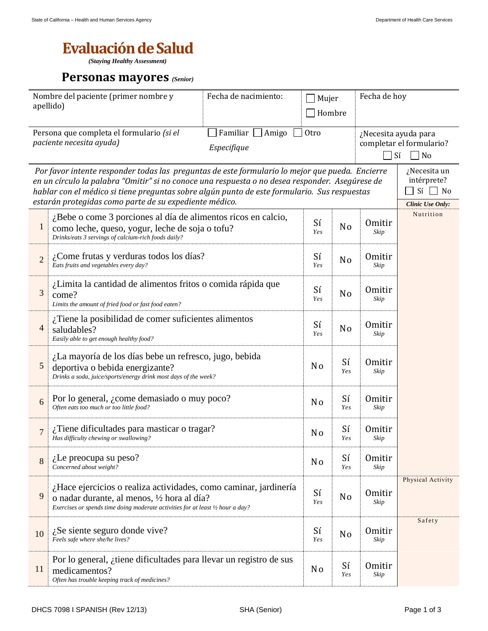## **Evaluación de Salud**

*(Staying Healthy Assessment)*

## **Personas mayores** *(Senior)*

| Nombre del paciente (primer nombre y<br>apellido) |                                                                                                                                                                                                                                                                                                                                                              | Fecha de nacimiento: | Mujer<br>Hombre  |                                                                     | Fecha de hoy          |        |
|---------------------------------------------------|--------------------------------------------------------------------------------------------------------------------------------------------------------------------------------------------------------------------------------------------------------------------------------------------------------------------------------------------------------------|----------------------|------------------|---------------------------------------------------------------------|-----------------------|--------|
|                                                   | Persona que completa el formulario (si el<br>paciente necesita ayuda)                                                                                                                                                                                                                                                                                        | Otro                 |                  | ¿Necesita ayuda para<br>completar el formulario?<br>Sí<br>$\Box$ No |                       |        |
|                                                   | Por favor intente responder todas las preguntas de este formulario lo mejor que pueda. Encierre<br>en un círculo la palabra "Omitir" si no conoce una respuesta o no desea responder. Asegúrese de<br>hablar con el médico si tiene preguntas sobre algún punto de este formulario. Sus respuestas<br>estarán protegidas como parte de su expediente médico. |                      |                  |                                                                     |                       |        |
| $\mathbf{1}$                                      | ¿Bebe o come 3 porciones al día de alimentos ricos en calcio,<br>como leche, queso, yogur, leche de soja o tofu?<br>Drinks/eats 3 servings of calcium-rich foods daily?                                                                                                                                                                                      | Sí<br><b>Yes</b>     | N <sub>o</sub>   | <b>Omitir</b><br>Skip                                               | Nutrition             |        |
| $\overline{2}$                                    | $\lambda$ Come frutas y verduras todos los días?<br>Eats fruits and vegetables every day?                                                                                                                                                                                                                                                                    | Sí<br><b>Yes</b>     | N <sub>o</sub>   | <b>Omitir</b><br>Skip                                               |                       |        |
| 3                                                 | ¿Limita la cantidad de alimentos fritos o comida rápida que<br>come?<br>Limits the amount of fried food or fast food eaten?                                                                                                                                                                                                                                  | Sí<br><b>Yes</b>     | N <sub>o</sub>   | <b>Omitir</b><br>Skip                                               |                       |        |
| $\overline{\mathcal{A}}$                          | ¿Tiene la posibilidad de comer suficientes alimentos<br>saludables?<br>Easily able to get enough healthy food?                                                                                                                                                                                                                                               | Sí<br><b>Yes</b>     | N <sub>o</sub>   | <b>Omitir</b><br>Skip                                               |                       |        |
| $\mathfrak{S}$                                    | ¿La mayoría de los días bebe un refresco, jugo, bebida<br>deportiva o bebida energizante?<br>Drinks a soda, juice/sports/energy drink most days of the week?                                                                                                                                                                                                 |                      |                  |                                                                     | <b>Omitir</b><br>Skip |        |
| 6                                                 | Por lo general, <i>i</i> come demasiado o muy poco?<br>Often eats too much or too little food?                                                                                                                                                                                                                                                               | N <sub>0</sub>       | Sí<br>Yes        | <b>Omitir</b><br>Skip                                               |                       |        |
| $\overline{7}$                                    | $i$ Tiene dificultades para masticar o tragar?<br>Has difficulty chewing or swallowing?                                                                                                                                                                                                                                                                      | N <sub>0</sub>       | Sí<br>Yes        | <b>Omitir</b><br>Skip                                               |                       |        |
| 8                                                 | $i$ . Le preocupa su peso?<br>Concerned about weight?                                                                                                                                                                                                                                                                                                        | N <sub>0</sub>       | Sí<br>Yes        | Omitir<br>Skip                                                      |                       |        |
| 9                                                 | ¿Hace ejercicios o realiza actividades, como caminar, jardinería<br>o nadar durante, al menos, 1/2 hora al día?<br>Exercises or spends time doing moderate activities for at least 1/2 hour a day?                                                                                                                                                           | Sí<br><b>Yes</b>     | N <sub>o</sub>   | <b>Omitir</b><br>Skip                                               | Physical Activity     |        |
| 10                                                | $i$ Se siente seguro donde vive?<br>Feels safe where she/he lives?                                                                                                                                                                                                                                                                                           |                      | Sí<br><b>Yes</b> | N <sub>0</sub>                                                      | <b>Omitir</b><br>Skip | Safety |
| 11                                                | Por lo general, $\chi$ tiene dificultades para llevar un registro de sus<br>medicamentos?<br>Often has trouble keeping track of medicines?                                                                                                                                                                                                                   |                      |                  | Sí<br>Yes                                                           | <b>Omitir</b><br>Skip |        |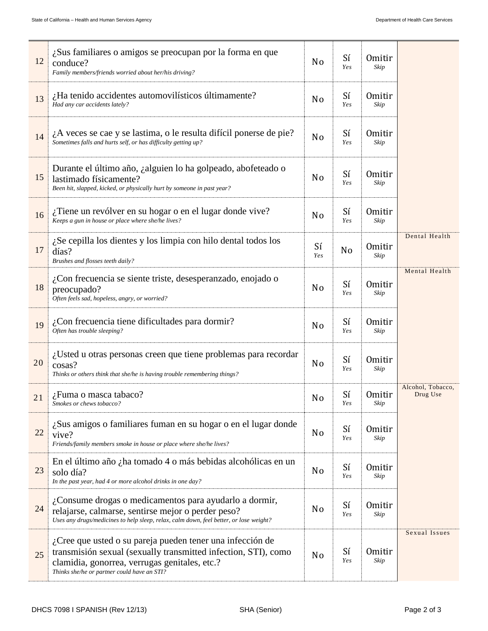| 12 | ¿Sus familiares o amigos se preocupan por la forma en que<br>conduce?<br>Family members/friends worried about her/his driving?                                                                                              | N <sub>o</sub>   | Sí<br><b>Yes</b> | <b>Omitir</b><br>Skip |                               |
|----|-----------------------------------------------------------------------------------------------------------------------------------------------------------------------------------------------------------------------------|------------------|------------------|-----------------------|-------------------------------|
| 13 | ¿Ha tenido accidentes automovilísticos últimamente?<br>Had any car accidents lately?                                                                                                                                        | N <sub>0</sub>   | Sí<br><b>Yes</b> | <b>Omitir</b><br>Skip |                               |
| 14 | $\lambda$ A veces se cae y se lastima, o le resulta difícil ponerse de pie?<br>Sometimes falls and hurts self, or has difficulty getting up?                                                                                | N <sub>o</sub>   | Sí<br><b>Yes</b> | <b>Omitir</b><br>Skip |                               |
| 15 | Durante el último año, ¿alguien lo ha golpeado, abofeteado o<br>lastimado físicamente?<br>Been hit, slapped, kicked, or physically hurt by someone in past year?                                                            | N <sub>0</sub>   | Sí<br><b>Yes</b> | <b>Omitir</b><br>Skip |                               |
| 16 | ¿Tiene un revólver en su hogar o en el lugar donde vive?<br>Keeps a gun in house or place where she/he lives?                                                                                                               | N <sub>0</sub>   | Sí<br><b>Yes</b> | Omitir<br>Skip        |                               |
| 17 | $i$ Se cepilla los dientes y los limpia con hilo dental todos los<br>días?<br>Brushes and flosses teeth daily?                                                                                                              | Sí<br><b>Yes</b> | No               | Omitir<br>Skip        | Dental Health                 |
| 18 | ¿Con frecuencia se siente triste, desesperanzado, enojado o<br>preocupado?<br>Often feels sad, hopeless, angry, or worried?                                                                                                 | N <sub>o</sub>   | Sí<br><b>Yes</b> | <b>Omitir</b><br>Skip | Mental Health                 |
| 19 | $i$ Con frecuencia tiene dificultades para dormir?<br>Often has trouble sleeping?                                                                                                                                           | N <sub>0</sub>   | Sí<br><b>Yes</b> | <b>Omitir</b><br>Skip |                               |
| 20 | Usted u otras personas creen que tiene problemas para recordar<br>cosas?<br>Thinks or others think that she/he is having trouble remembering things?                                                                        | N <sub>0</sub>   | Sí<br><b>Yes</b> | <b>Omitir</b><br>Skip |                               |
| 21 | ¿Fuma o masca tabaco?<br>Smokes or chews tobacco?                                                                                                                                                                           | N <sub>o</sub>   | Sí<br><b>Yes</b> | Omitir<br>Skip        | Alcohol, Tobacco,<br>Drug Use |
| 22 | ¿Sus amigos o familiares fuman en su hogar o en el lugar donde<br>vive?<br>Friends/family members smoke in house or place where she/he lives?                                                                               | N <sub>0</sub>   | Sí<br><b>Yes</b> | <b>Omitir</b><br>Skip |                               |
| 23 | En el último año ¿ha tomado 4 o más bebidas alcohólicas en un<br>solo día?<br>In the past year, had 4 or more alcohol drinks in one day?                                                                                    | N <sub>o</sub>   | Sí<br><b>Yes</b> | <b>Omitir</b><br>Skip |                               |
| 24 | ¿Consume drogas o medicamentos para ayudarlo a dormir,<br>relajarse, calmarse, sentirse mejor o perder peso?<br>Uses any drugs/medicines to help sleep, relax, calm down, feel better, or lose weight?                      | N <sub>o</sub>   | Sí<br><b>Yes</b> | <b>Omitir</b><br>Skip |                               |
| 25 | ¿Cree que usted o su pareja pueden tener una infección de<br>transmisión sexual (sexually transmitted infection, STI), como<br>clamidia, gonorrea, verrugas genitales, etc.?<br>Thinks she/he or partner could have an STI? | N <sub>o</sub>   | Sí<br><i>Yes</i> | <b>Omitir</b><br>Skip | Sexual Issues                 |